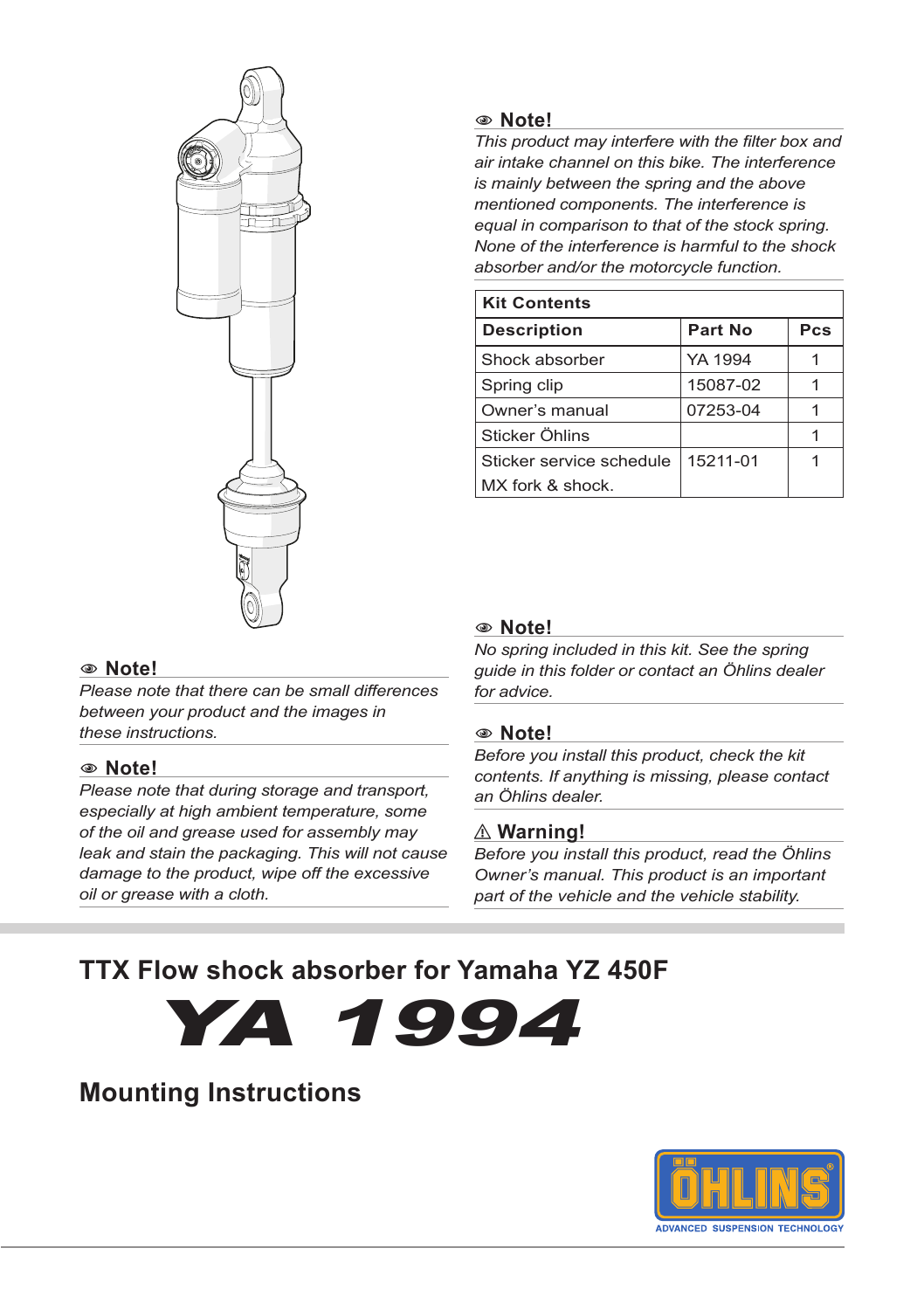

#### 1 **Note!**

*Please note that there can be small differences between your product and the images in these instructions.*

#### 1 **Note!**

*Please note that during storage and transport, especially at high ambient temperature, some of the oil and grease used for assembly may leak and stain the packaging. This will not cause damage to the product, wipe off the excessive oil or grease with a cloth.*

#### 1 **Note!**

*This product may interfere with the filter box and air intake channel on this bike. The interference is mainly between the spring and the above mentioned components. The interference is equal in comparison to that of the stock spring. None of the interference is harmful to the shock absorber and/or the motorcycle function.* 

| <b>Kit Contents</b>      |          |     |  |  |
|--------------------------|----------|-----|--|--|
| <b>Description</b>       | Part No  | Pcs |  |  |
| Shock absorber           | YA 1994  |     |  |  |
| Spring clip              | 15087-02 |     |  |  |
| Owner's manual           | 07253-04 |     |  |  |
| Sticker Öhlins           |          |     |  |  |
| Sticker service schedule | 15211-01 |     |  |  |
| MX fork & shock.         |          |     |  |  |

#### 1 **Note!**

*No spring included in this kit. See the spring guide in this folder or contact an Öhlins dealer for advice.*

#### 1 **Note!**

*Before you install this product, check the kit contents. If anything is missing, please contact an Öhlins dealer.*

#### ⚠ **Warning!**

*Before you install this product, read the Öhlins Owner's manual. This product is an important part of the vehicle and the vehicle stability.*

### **TTX Flow shock absorber for Yamaha YZ 450F**



### **Mounting Instructions**

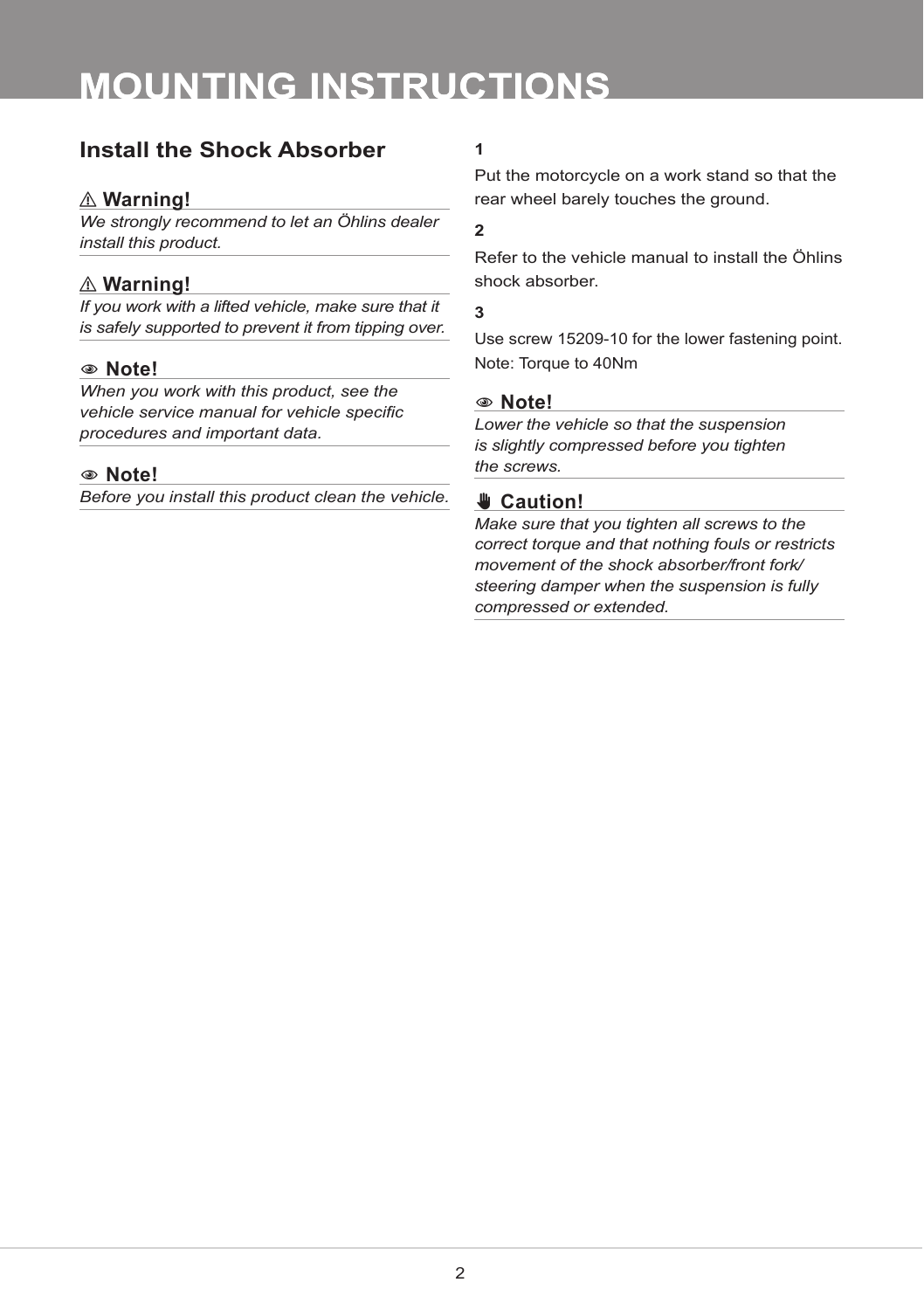# **MOUNTING INSTRUCTIONS**

### **Install the Shock Absorber 1**

#### ⚠ **Warning!**

*We strongly recommend to let an Öhlins dealer install this product.*

#### ⚠ **Warning!**

*If you work with a lifted vehicle, make sure that it is safely supported to prevent it from tipping over.*

#### 1 **Note!**

*When you work with this product, see the vehicle service manual for vehicle specific procedures and important data.*

#### 1 **Note!**

*Before you install this product clean the vehicle.*

Put the motorcycle on a work stand so that the rear wheel barely touches the ground.

#### **2**

Refer to the vehicle manual to install the Öhlins shock absorber.

#### **3**

Use screw 15209-10 for the lower fastening point. Note: Torque to 40Nm

#### 1 **Note!**

*Lower the vehicle so that the suspension is slightly compressed before you tighten the screws.*

### ✋**✋ Caution!**

*Make sure that you tighten all screws to the correct torque and that nothing fouls or restricts movement of the shock absorber/front fork/ steering damper when the suspension is fully compressed or extended.*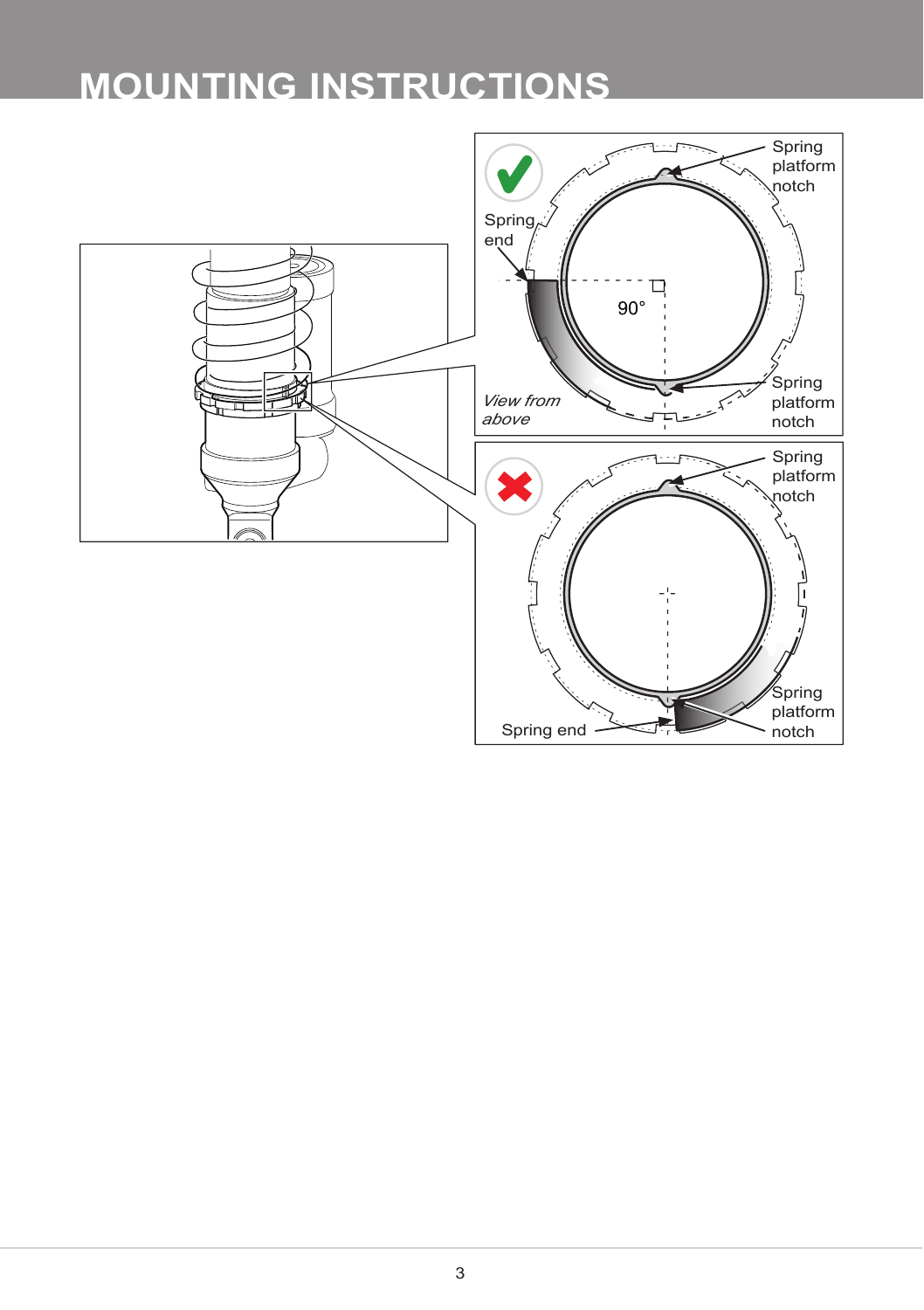# **MOUNTING INSTRUCTIONS**